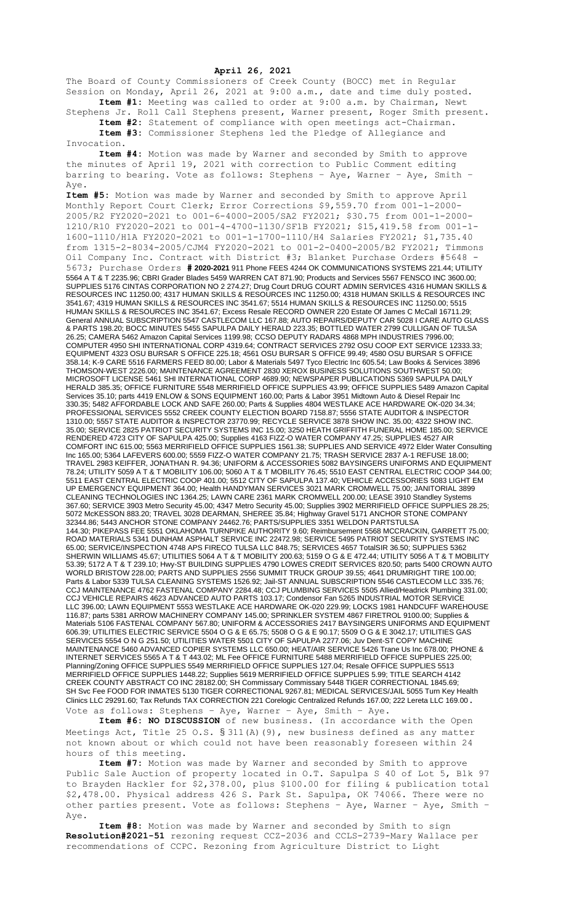## **April 26, 2021**

The Board of County Commissioners of Creek County (BOCC) met in Regular Session on Monday, April 26, 2021 at 9:00 a.m., date and time duly posted. **Item #1:** Meeting was called to order at 9:00 a.m. by Chairman, Newt

Stephens Jr. Roll Call Stephens present, Warner present, Roger Smith present. **Item #2:** Statement of compliance with open meetings act-Chairman. **Item #3:** Commissioner Stephens led the Pledge of Allegiance and

Invocation.

**Item #4:** Motion was made by Warner and seconded by Smith to approve the minutes of April 19, 2021 with correction to Public Comment editing barring to bearing. Vote as follows: Stephens – Aye, Warner – Aye, Smith – Aye.

**Item #5:** Motion was made by Warner and seconded by Smith to approve April Monthly Report Court Clerk; Error Corrections \$9,559.70 from 001-1-2000- 2005/R2 FY2020-2021 to 001-6-4000-2005/SA2 FY2021; \$30.75 from 001-1-2000- 1210/R10 FY2020-2021 to 001-4-4700-1130/SF1B FY2021; \$15,419.58 from 001-1- 1600-1110/H1A FY2020-2021 to 001-1-1700-1110/H4 Salaries FY2021; \$1,735.40 from 1315-2-8034-2005/CJM4 FY2020-2021 to 001-2-0400-2005/B2 FY2021; Timmons Oil Company Inc. Contract with District #3; Blanket Purchase Orders #5648 5673; Purchase Orders **# 2020-2021** 911 Phone FEES 4244 OK COMMUNICATIONS SYSTEMS 221.44; UTILITY 5564 A T & T 2235.96; CBRI Grader Blades 5459 WARREN CAT 871.90; Products and Services 5567 FENSCO INC 3600.00; SUPPLIES 5176 CINTAS CORPORATION NO 2 274.27; Drug Court DRUG COURT ADMIN SERVICES 4316 HUMAN SKILLS & RESOURCES INC 11250.00; 4317 HUMAN SKILLS & RESOURCES INC 11250.00; 4318 HUMAN SKILLS & RESOURCES INC 3541.67; 4319 HUMAN SKILLS & RESOURCES INC 3541.67; 5514 HUMAN SKILLS & RESOURCES INC 11250.00; 5515 HUMAN SKILLS & RESOURCES INC 3541.67; Excess Resale RECORD OWNER 220 Estate Of James C McCall 16711.29; General ANNUAL SUBSCRIPTION 5547 CASTLECOM LLC 167.88; AUTO REPAIRS/DEPUTY CAR 5028 I CARE AUTO GLASS & PARTS 198.20; BOCC MINUTES 5455 SAPULPA DAILY HERALD 223.35; BOTTLED WATER 2799 CULLIGAN OF TULSA 26.25; CAMERA 5462 Amazon Capital Services 1199.98; CCSO DEPUTY RADARS 4868 MPH INDUSTRIES 7996.00; COMPUTER 4950 SHI INTERNATIONAL CORP 4319.64; CONTRACT SERVICES 2792 OSU COOP EXT SERVICE 12333.33; EQUIPMENT 4323 OSU BURSAR S OFFICE 225.18; 4561 OSU BURSAR S OFFICE 99.49; 4580 OSU BURSAR S OFFICE 358.14; K-9 CARE 5516 FARMERS FEED 80.00; Labor & Materials 5497 Tyco Electric Inc 605.54; Law Books & Services 3896 THOMSON-WEST 2226.00; MAINTENANCE AGREEMENT 2830 XEROX BUSINESS SOLUTIONS SOUTHWEST 50.00; MICROSOFT LICENSE 5461 SHI INTERNATIONAL CORP 4689.90; NEWSPAPER PUBLICATIONS 5369 SAPULPA DAILY HERALD 385.35; OFFICE FURNITURE 5548 MERRIFIELD OFFICE SUPPLIES 43.99; OFFICE SUPPLIES 5489 Amazon Capital Services 35.10; parts 4419 ENLOW & SONS EQUIPMENT 160.00; Parts & Labor 3951 Midtown Auto & Diesel Repair Inc 330.35; 5482 AFFORDABLE LOCK AND SAFE 260.00; Parts & Supplies 4804 WESTLAKE ACE HARDWARE OK-020 34.34; PROFESSIONAL SERVICES 5552 CREEK COUNTY ELECTION BOARD 7158.87; 5556 STATE AUDITOR & INSPECTOR 1310.00; 5557 STATE AUDITOR & INSPECTOR 23770.99; RECYCLE SERVICE 3878 SHOW INC. 35.00; 4322 SHOW INC. 35.00; SERVICE 2825 PATRIOT SECURITY SYSTEMS INC 15.00; 3250 HEATH GRIFFITH FUNERAL HOME 185.00; SERVICE RENDERED 4723 CITY OF SAPULPA 425.00; Supplies 4163 FIZZ-O WATER COMPANY 47.25; SUPPLIES 4527 AIR COMFORT INC 615.00; 5563 MERRIFIELD OFFICE SUPPLIES 1561.38; SUPPLIES AND SERVICE 4972 Elder Water Consulting Inc 165.00; 5364 LAFEVERS 600.00; 5559 FIZZ-O WATER COMPANY 21.75; TRASH SERVICE 2837 A-1 REFUSE 18.00; TRAVEL 2983 KEIFFER, JONATHAN R. 94.36; UNIFORM & ACCESSORIES 5082 BAYSINGERS UNIFORMS AND EQUIPMENT 78.24; UTILITY 5059 A T & T MOBILITY 106.00; 5060 A T & T MOBILITY 76.45; 5510 EAST CENTRAL ELECTRIC COOP 344.00; 5511 EAST CENTRAL ELECTRIC COOP 401.00; 5512 CITY OF SAPULPA 137.40; VEHICLE ACCESSORIES 5083 LIGHT EM UP EMERGENCY EQUIPMENT 364.00; Health HANDYMAN SERVICES 3021 MARK CROMWELL 75.00; JANITORIAL 3899 CLEANING TECHNOLOGIES INC 1364.25; LAWN CARE 2361 MARK CROMWELL 200.00; LEASE 3910 Standley Systems 367.60; SERVICE 3903 Metro Security 45.00; 4347 Metro Security 45.00; Supplies 3902 MERRIFIELD OFFICE SUPPLIES 28.25; 5072 McKESSON 883.20; TRAVEL 3028 DEARMAN, SHEREE 35.84; Highway Gravel 5171 ANCHOR STONE COMPANY 32344.86; 5443 ANCHOR STONE COMPANY 24462.76; PARTS/SUPPLIES 3351 WELDON PARTSTULSA 144.30; PIKEPASS FEE 5551 OKLAHOMA TURNPIKE AUTHORITY 9.60; Reimbursement 5568 MCCRACKIN, GARRETT 75.00; ROAD MATERIALS 5341 DUNHAM ASPHALT SERVICE INC 22472.98; SERVICE 5495 PATRIOT SECURITY SYSTEMS INC 65.00; SERVICE/INSPECTION 4748 APS FIRECO TULSA LLC 848.75; SERVICES 4657 TotalSIR 36.50; SUPPLIES 5362 SHERWIN WILLIAMS 45.67; UTILITIES 5064 A T & T MOBILITY 200.63; 5159 O G & E 472.44; UTILITY 5056 A T & T MOBILITY 53.39; 5172 A T & T 239.10; Hwy-ST BUILDING SUPPLIES 4790 LOWES CREDIT SERVICES 820.50; parts 5400 CROWN AUTO WORLD BRISTOW 228.00; PARTS AND SUPPLIES 2556 SUMMIT TRUCK GROUP 39.55; 4641 DRUMRIGHT TIRE 100.00; Parts & Labor 5339 TULSA CLEANING SYSTEMS 1526.92; Jail-ST ANNUAL SUBSCRIPTION 5546 CASTLECOM LLC 335.76; CCJ MAINTENANCE 4762 FASTENAL COMPANY 2284.48; CCJ PLUMBING SERVICES 5505 Allied/Headrick Plumbing 331.00; CCJ VEHICLE REPAIRS 4623 ADVANCED AUTO PARTS 103.17; Condensor Fan 5265 INDUSTRIAL MOTOR SERVICE LLC 396.00; LAWN EQUIPMENT 5553 WESTLAKE ACE HARDWARE OK-020 229.99; LOCKS 1981 HANDCUFF WAREHOUSE 116.87; parts 5381 ARROW MACHINERY COMPANY 145.00; SPRINKLER SYSTEM 4867 FIRETROL 9100.00; Supplies & Materials 5106 FASTENAL COMPANY 567.80; UNIFORM & ACCESSORIES 2417 BAYSINGERS UNIFORMS AND EQUIPMENT 606.39; UTILITIES ELECTRIC SERVICE 5504 O G & E 65.75; 5508 O G & E 90.17; 5509 O G & E 3042.17; UTILITIES GAS SERVICES 5554 O N G 251.50; UTILITIES WATER 5501 CITY OF SAPULPA 2277.06; Juv Dent-ST COPY MACHINE MAINTENANCE 5460 ADVANCED COPIER SYSTEMS LLC 650.00; HEAT/AIR SERVICE 5426 Trane Us Inc 678.00; PHONE & INTERNET SERVICES 5565 A T & T 443.02; ML Fee OFFICE FURNITURE 5488 MERRIFIELD OFFICE SUPPLIES 225.00; Planning/Zoning OFFICE SUPPLIES 5549 MERRIFIELD OFFICE SUPPLIES 127.04; Resale OFFICE SUPPLIES 5513 MERRIFIELD OFFICE SUPPLIES 1448.22; Supplies 5619 MERRIFIELD OFFICE SUPPLIES 5.99; TITLE SEARCH 4142 CREEK COUNTY ABSTRACT CO INC 28182.00; SH Commissary Commissary 5448 TIGER CORRECTIONAL 1845.69; SH Svc Fee FOOD FOR INMATES 5130 TIGER CORRECTIONAL 9267.81; MEDICAL SERVICES/JAIL 5055 Turn Key Health Clinics LLC 29291.60; Tax Refunds TAX CORRECTION 221 Corelogic Centralized Refunds 167.00; 222 Lereta LLC 169.00. Vote as follows: Stephens – Aye, Warner – Aye, Smith – Aye.

**Item #6: NO DISCUSSION** of new business. (In accordance with the Open Meetings Act, Title 25 O.S.  $\S 311(A)$  (9), new business defined as any matter not known about or which could not have been reasonably foreseen within 24 hours of this meeting.

**Item #7:** Motion was made by Warner and seconded by Smith to approve Public Sale Auction of property located in O.T. Sapulpa S 40 of Lot 5, Blk 97 to Brayden Hackler for \$2,378.00, plus \$100.00 for filing & publication total \$2,478.00. Physical address 426 S. Park St. Sapulpa, OK 74066. There were no other parties present. Vote as follows: Stephens – Aye, Warner – Aye, Smith – Aye.

**Item #8:** Motion was made by Warner and seconded by Smith to sign **Resolution#2021-51** rezoning request CCZ-2036 and CCLS-2739-Mary Wallace per recommendations of CCPC. Rezoning from Agriculture District to Light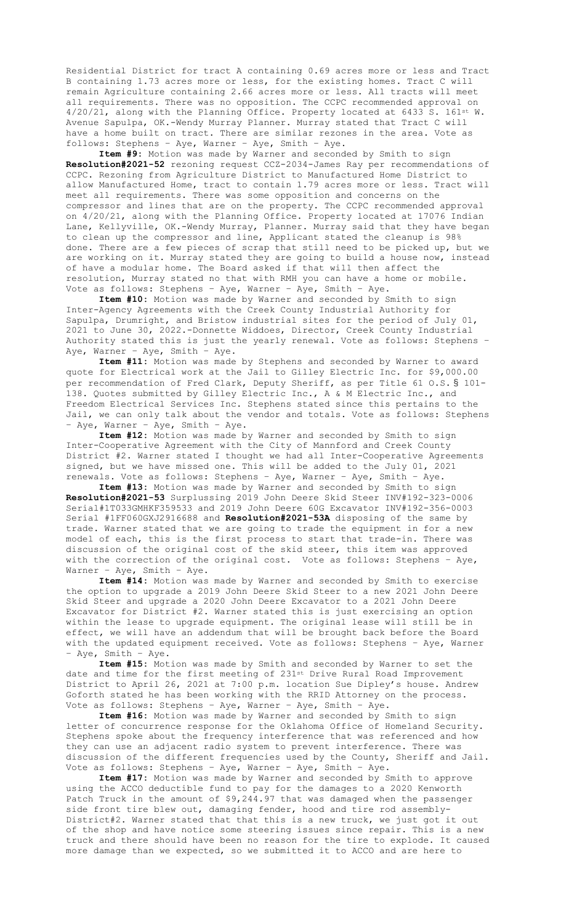Residential District for tract A containing 0.69 acres more or less and Tract B containing 1.73 acres more or less, for the existing homes. Tract C will remain Agriculture containing 2.66 acres more or less. All tracts will meet all requirements. There was no opposition. The CCPC recommended approval on 4/20/21, along with the Planning Office. Property located at 6433 S. 161st W. Avenue Sapulpa, OK.-Wendy Murray Planner. Murray stated that Tract C will have a home built on tract. There are similar rezones in the area. Vote as follows: Stephens – Aye, Warner – Aye, Smith – Aye.

**Item #9:** Motion was made by Warner and seconded by Smith to sign **Resolution#2021-52** rezoning request CCZ-2034-James Ray per recommendations of CCPC. Rezoning from Agriculture District to Manufactured Home District to allow Manufactured Home, tract to contain 1.79 acres more or less. Tract will meet all requirements. There was some opposition and concerns on the compressor and lines that are on the property. The CCPC recommended approval on 4/20/21, along with the Planning Office. Property located at 17076 Indian Lane, Kellyville, OK.-Wendy Murray, Planner. Murray said that they have began to clean up the compressor and line, Applicant stated the cleanup is 98% done. There are a few pieces of scrap that still need to be picked up, but we are working on it. Murray stated they are going to build a house now, instead of have a modular home. The Board asked if that will then affect the resolution, Murray stated no that with RMH you can have a home or mobile. Vote as follows: Stephens – Aye, Warner – Aye, Smith – Aye.

**Item #10:** Motion was made by Warner and seconded by Smith to sign Inter-Agency Agreements with the Creek County Industrial Authority for Sapulpa, Drumright, and Bristow industrial sites for the period of July 01, 2021 to June 30, 2022.-Donnette Widdoes, Director, Creek County Industrial Authority stated this is just the yearly renewal. Vote as follows: Stephens – Aye, Warner – Aye, Smith – Aye.

**Item #11:** Motion was made by Stephens and seconded by Warner to award quote for Electrical work at the Jail to Gilley Electric Inc. for \$9,000.00 per recommendation of Fred Clark, Deputy Sheriff, as per Title 61 O.S. § 101-138. Quotes submitted by Gilley Electric Inc., A & M Electric Inc., and Freedom Electrical Services Inc. Stephens stated since this pertains to the Jail, we can only talk about the vendor and totals. Vote as follows: Stephens – Aye, Warner – Aye, Smith – Aye.

**Item #12:** Motion was made by Warner and seconded by Smith to sign Inter-Cooperative Agreement with the City of Mannford and Creek County District #2. Warner stated I thought we had all Inter-Cooperative Agreements signed, but we have missed one. This will be added to the July 01, 2021 renewals. Vote as follows: Stephens – Aye, Warner – Aye, Smith – Aye.

**Item #13:** Motion was made by Warner and seconded by Smith to sign **Resolution#2021-53** Surplussing 2019 John Deere Skid Steer INV#192-323-0006 Serial#1T033GMHKF359533 and 2019 John Deere 60G Excavator INV#192-356-0003 Serial #1FF060GXJ2916688 and **Resolution#2021-53A** disposing of the same by trade. Warner stated that we are going to trade the equipment in for a new model of each, this is the first process to start that trade-in. There was discussion of the original cost of the skid steer, this item was approved with the correction of the original cost. Vote as follows: Stephens – Aye, Warner – Aye, Smith – Aye.

**Item #14:** Motion was made by Warner and seconded by Smith to exercise the option to upgrade a 2019 John Deere Skid Steer to a new 2021 John Deere Skid Steer and upgrade a 2020 John Deere Excavator to a 2021 John Deere Excavator for District #2. Warner stated this is just exercising an option within the lease to upgrade equipment. The original lease will still be in effect, we will have an addendum that will be brought back before the Board with the updated equipment received. Vote as follows: Stephens – Aye, Warner – Aye, Smith – Aye.

**Item #15:** Motion was made by Smith and seconded by Warner to set the date and time for the first meeting of 231st Drive Rural Road Improvement District to April 26, 2021 at 7:00 p.m. location Sue Dipley's house. Andrew Goforth stated he has been working with the RRID Attorney on the process. Vote as follows: Stephens – Aye, Warner – Aye, Smith – Aye.

**Item #16:** Motion was made by Warner and seconded by Smith to sign letter of concurrence response for the Oklahoma Office of Homeland Security. Stephens spoke about the frequency interference that was referenced and how they can use an adjacent radio system to prevent interference. There was discussion of the different frequencies used by the County, Sheriff and Jail. Vote as follows: Stephens – Aye, Warner – Aye, Smith – Aye.

**Item #17:** Motion was made by Warner and seconded by Smith to approve using the ACCO deductible fund to pay for the damages to a 2020 Kenworth Patch Truck in the amount of \$9,244.97 that was damaged when the passenger side front tire blew out, damaging fender, hood and tire rod assembly-District#2. Warner stated that that this is a new truck, we just got it out of the shop and have notice some steering issues since repair. This is a new truck and there should have been no reason for the tire to explode. It caused more damage than we expected, so we submitted it to ACCO and are here to